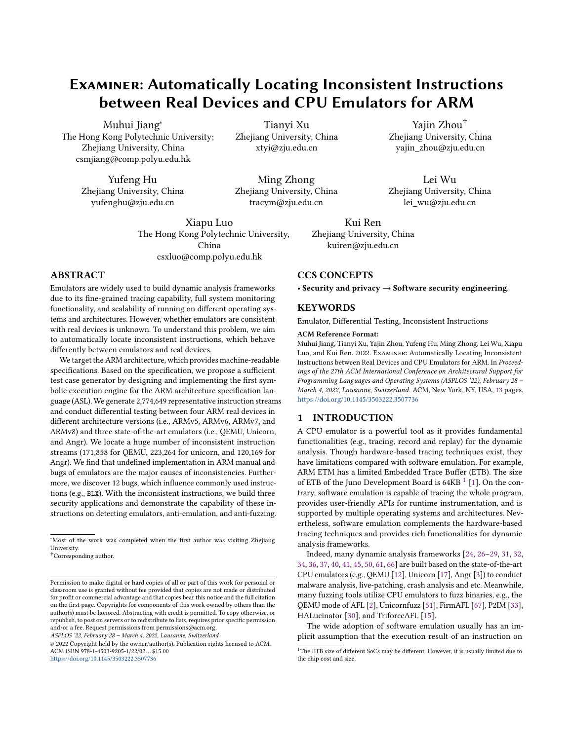# Examiner: Automatically Locating Inconsistent Instructions between Real Devices and CPU Emulators for ARM

Muhui Jiang<sup>∗</sup> The Hong Kong Polytechnic University; Zhejiang University, China csmjiang@comp.polyu.edu.hk

> Yufeng Hu Zhejiang University, China yufenghu@zju.edu.cn

> > Xiapu Luo The Hong Kong Polytechnic University, China

csxluo@comp.polyu.edu.hk

# ABSTRACT

Emulators are widely used to build dynamic analysis frameworks due to its fine-grained tracing capability, full system monitoring functionality, and scalability of running on different operating systems and architectures. However, whether emulators are consistent with real devices is unknown. To understand this problem, we aim to automatically locate inconsistent instructions, which behave differently between emulators and real devices.

We target the ARM architecture, which provides machine-readable specifications. Based on the specification, we propose a sufficient test case generator by designing and implementing the first symbolic execution engine for the ARM architecture specification language (ASL). We generate 2,774,649 representative instruction streams and conduct differential testing between four ARM real devices in different architecture versions (i.e., ARMv5, ARMv6, ARMv7, and ARMv8) and three state-of-the-art emulators (i.e., QEMU, Unicorn, and Angr). We locate a huge number of inconsistent instruction streams (171,858 for QEMU, 223,264 for unicorn, and 120,169 for Angr). We find that undefined implementation in ARM manual and bugs of emulators are the major causes of inconsistencies. Furthermore, we discover 12 bugs, which influence commonly used instructions (e.g., BLX). With the inconsistent instructions, we build three security applications and demonstrate the capability of these instructions on detecting emulators, anti-emulation, and anti-fuzzing.

ASPLOS '22, February 28 – March 4, 2022, Lausanne, Switzerland

Tianyi Xu Zhejiang University, China xtyi@zju.edu.cn

Ming Zhong Zhejiang University, China tracym@zju.edu.cn

> Kui Ren Zhejiang University, China kuiren@zju.edu.cn

# CCS CONCEPTS

• Security and privacy  $\rightarrow$  Software security engineering.

Yajin Zhou† Zhejiang University, China yajin\_zhou@zju.edu.cn

Lei Wu Zhejiang University, China lei\_wu@zju.edu.cn

# KEYWORDS

Emulator, Differential Testing, Inconsistent Instructions

#### ACM Reference Format:

Muhui Jiang, Tianyi Xu, Yajin Zhou, Yufeng Hu, Ming Zhong, Lei Wu, Xiapu Luo, and Kui Ren. 2022. Examiner: Automatically Locating Inconsistent Instructions between Real Devices and CPU Emulators for ARM. In Proceedings of the 27th ACM International Conference on Architectural Support for Programming Languages and Operating Systems (ASPLOS '22), February 28 – March 4, 2022, Lausanne, Switzerland. ACM, New York, NY, USA, [13](#page-12-0) pages. <https://doi.org/10.1145/3503222.3507736>

## 1 INTRODUCTION

A CPU emulator is a powerful tool as it provides fundamental functionalities (e.g., tracing, record and replay) for the dynamic analysis. Though hardware-based tracing techniques exist, they have limitations compared with software emulation. For example, ARM ETM has a limited Embedded Trace Buffer (ETB). The size of ETB of the Juno Development Board is  $64KB$   $^1$  $^1$  [\[1\]](#page-11-0). On the contrary, software emulation is capable of tracing the whole program, provides user-friendly APIs for runtime instrumentation, and is supported by multiple operating systems and architectures. Nevertheless, software emulation complements the hardware-based tracing techniques and provides rich functionalities for dynamic analysis frameworks.

Indeed, many dynamic analysis frameworks [\[24,](#page-12-1) [26–](#page-12-2)[29,](#page-12-3) [31,](#page-12-4) [32,](#page-12-5) [34,](#page-12-6) [36,](#page-12-7) [37,](#page-12-8) [40,](#page-12-9) [41,](#page-12-10) [45,](#page-12-11) [50,](#page-12-12) [61,](#page-12-13) [66\]](#page-12-14) are built based on the state-of-the-art CPU emulators (e.g., QEMU [\[12\]](#page-11-1), Unicorn [\[17\]](#page-12-15), Angr [\[3\]](#page-11-2)) to conduct malware analysis, live-patching, crash analysis and etc. Meanwhile, many fuzzing tools utilize CPU emulators to fuzz binaries, e.g., the QEMU mode of AFL [\[2\]](#page-11-3), Unicornfuzz [\[51\]](#page-12-16), FirmAFL [\[67\]](#page-12-17), P2IM [\[33\]](#page-12-18), HALucinator [\[30\]](#page-12-19), and TriforceAFL [\[15\]](#page-12-20).

The wide adoption of software emulation usually has an implicit assumption that the execution result of an instruction on

<sup>∗</sup>Most of the work was completed when the first author was visiting Zhejiang University.

<sup>†</sup>Corresponding author.

Permission to make digital or hard copies of all or part of this work for personal or classroom use is granted without fee provided that copies are not made or distributed for profit or commercial advantage and that copies bear this notice and the full citation on the first page. Copyrights for components of this work owned by others than the author(s) must be honored. Abstracting with credit is permitted. To copy otherwise, or republish, to post on servers or to redistribute to lists, requires prior specific permission and/or a fee. Request permissions from permissions@acm.org.

<sup>©</sup> 2022 Copyright held by the owner/author(s). Publication rights licensed to ACM. ACM ISBN 978-1-4503-9205-1/22/02. . . \$15.00 <https://doi.org/10.1145/3503222.3507736>

<span id="page-0-0"></span><sup>&</sup>lt;sup>1</sup>The ETB size of different SoCs may be different. However, it is usually limited due to the chip cost and size.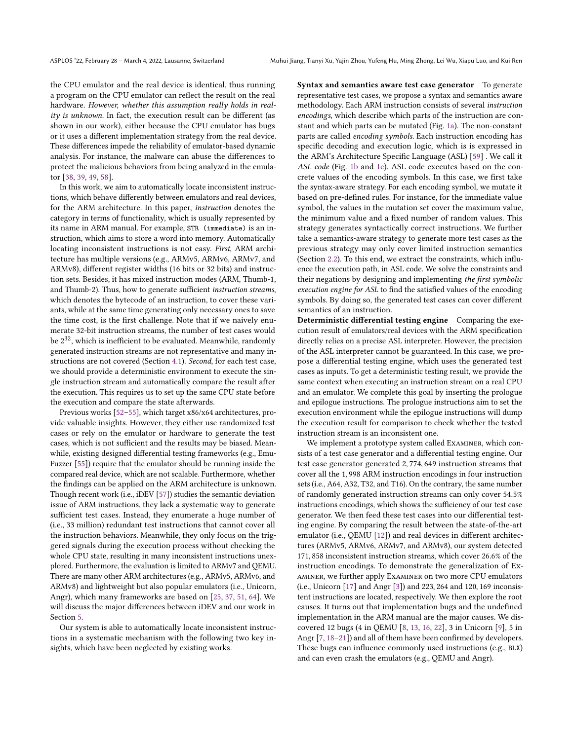the CPU emulator and the real device is identical, thus running a program on the CPU emulator can reflect the result on the real hardware. However, whether this assumption really holds in reality is unknown. In fact, the execution result can be different (as shown in our work), either because the CPU emulator has bugs or it uses a different implementation strategy from the real device. These differences impede the reliability of emulator-based dynamic analysis. For instance, the malware can abuse the differences to protect the malicious behaviors from being analyzed in the emulator [\[38,](#page-12-21) [39,](#page-12-22) [49,](#page-12-23) [58\]](#page-12-24).

In this work, we aim to automatically locate inconsistent instructions, which behave differently between emulators and real devices, for the ARM architecture. In this paper, instruction denotes the category in terms of functionality, which is usually represented by its name in ARM manual. For example, STR (immediate) is an instruction, which aims to store a word into memory. Automatically locating inconsistent instructions is not easy. First, ARM architecture has multiple versions (e.g., ARMv5, ARMv6, ARMv7, and ARMv8), different register widths (16 bits or 32 bits) and instruction sets. Besides, it has mixed instruction modes (ARM, Thumb-1, and Thumb-2). Thus, how to generate sufficient instruction streams, which denotes the bytecode of an instruction, to cover these variants, while at the same time generating only necessary ones to save the time cost, is the first challenge. Note that if we naively enumerate 32-bit instruction streams, the number of test cases would be  $2^{32}$ , which is inefficient to be evaluated. Meanwhile, randomly generated instruction streams are not representative and many instructions are not covered (Section [4.1\)](#page-5-0). Second, for each test case, we should provide a deterministic environment to execute the single instruction stream and automatically compare the result after the execution. This requires us to set up the same CPU state before the execution and compare the state afterwards.

Previous works [\[52](#page-12-25)[–55\]](#page-12-26), which target x86/x64 architectures, provide valuable insights. However, they either use randomized test cases or rely on the emulator or hardware to generate the test cases, which is not sufficient and the results may be biased. Meanwhile, existing designed differential testing frameworks (e.g., Emu-Fuzzer [\[55\]](#page-12-26)) require that the emulator should be running inside the compared real device, which are not scalable. Furthermore, whether the findings can be applied on the ARM architecture is unknown. Though recent work (i.e., iDEV [\[57\]](#page-12-27)) studies the semantic deviation issue of ARM instructions, they lack a systematic way to generate sufficient test cases. Instead, they enumerate a huge number of (i.e., 33 million) redundant test instructions that cannot cover all the instruction behaviors. Meanwhile, they only focus on the triggered signals during the execution process without checking the whole CPU state, resulting in many inconsistent instructions unexplored. Furthermore, the evaluation is limited to ARMv7 and QEMU. There are many other ARM architectures (e.g., ARMv5, ARMv6, and ARMv8) and lightweight but also popular emulators (i.e., Unicorn, Angr), which many frameworks are based on [\[25,](#page-12-28) [37,](#page-12-8) [51,](#page-12-16) [64\]](#page-12-29). We will discuss the major differences between iDEV and our work in Section [5.](#page-10-0)

Our system is able to automatically locate inconsistent instructions in a systematic mechanism with the following two key insights, which have been neglected by existing works.

Syntax and semantics aware test case generator To generate representative test cases, we propose a syntax and semantics aware methodology. Each ARM instruction consists of several instruction encodings, which describe which parts of the instruction are constant and which parts can be mutated (Fig. [1a\)](#page-2-0). The non-constant parts are called encoding symbols. Each instruction encoding has specific decoding and execution logic, which is is expressed in the ARM's Architecture Specific Language (ASL) [\[59\]](#page-12-30) . We call it ASL code (Fig. [1b](#page-2-0) and [1c\)](#page-2-0). ASL code executes based on the concrete values of the encoding symbols. In this case, we first take the syntax-aware strategy. For each encoding symbol, we mutate it based on pre-defined rules. For instance, for the immediate value symbol, the values in the mutation set cover the maximum value, the minimum value and a fixed number of random values. This strategy generates syntactically correct instructions. We further take a semantics-aware strategy to generate more test cases as the previous strategy may only cover limited instruction semantics (Section [2.2\)](#page-2-1). To this end, we extract the constraints, which influence the execution path, in ASL code. We solve the constraints and their negations by designing and implementing the first symbolic execution engine for ASL to find the satisfied values of the encoding symbols. By doing so, the generated test cases can cover different semantics of an instruction.

Deterministic differential testing engine Comparing the execution result of emulators/real devices with the ARM specification directly relies on a precise ASL interpreter. However, the precision of the ASL interpreter cannot be guaranteed. In this case, we propose a differential testing engine, which uses the generated test cases as inputs. To get a deterministic testing result, we provide the same context when executing an instruction stream on a real CPU and an emulator. We complete this goal by inserting the prologue and epilogue instructions. The prologue instructions aim to set the execution environment while the epilogue instructions will dump the execution result for comparison to check whether the tested instruction stream is an inconsistent one.

We implement a prototype system called Examiner, which consists of a test case generator and a differential testing engine. Our test case generator generated 2, 774, 649 instruction streams that cover all the 1, 998 ARM instruction encodings in four instruction sets (i.e., A64, A32, T32, and T16). On the contrary, the same number of randomly generated instruction streams can only cover 54.5% instructions encodings, which shows the sufficiency of our test case generator. We then feed these test cases into our differential testing engine. By comparing the result between the state-of-the-art emulator (i.e., QEMU [\[12\]](#page-11-1)) and real devices in different architectures (ARMv5, ARMv6, ARMv7, and ARMv8), our system detected 171, 858 inconsistent instruction streams, which cover 26.6% of the instruction encodings. To demonstrate the generalization of Examiner, we further apply Examiner on two more CPU emulators (i.e., Unicorn [\[17\]](#page-12-15) and Angr [\[3\]](#page-11-2)) and 223, 264 and 120, 169 inconsistent instructions are located, respectively. We then explore the root causes. It turns out that implementation bugs and the undefined implementation in the ARM manual are the major causes. We discovered 12 bugs (4 in QEMU [\[8,](#page-11-4) [13,](#page-11-5) [16,](#page-12-31) [22\]](#page-12-32), 3 in Unicorn [\[9\]](#page-11-6), 5 in Angr [\[7,](#page-11-7) [18](#page-12-33)[–21\]](#page-12-34)) and all of them have been confirmed by developers. These bugs can influence commonly used instructions (e.g., BLX) and can even crash the emulators (e.g., QEMU and Angr).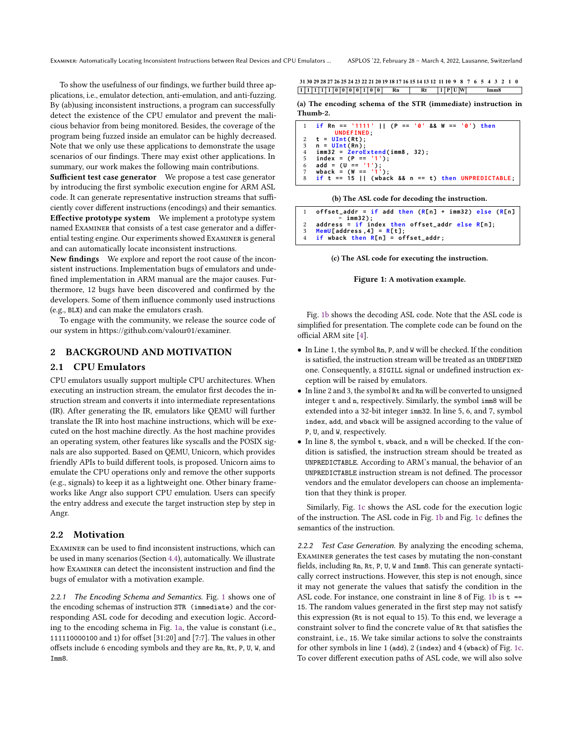To show the usefulness of our findings, we further build three applications, i.e., emulator detection, anti-emulation, and anti-fuzzing. By (ab)using inconsistent instructions, a program can successfully detect the existence of the CPU emulator and prevent the malicious behavior from being monitored. Besides, the coverage of the program being fuzzed inside an emulator can be highly decreased. Note that we only use these applications to demonstrate the usage scenarios of our findings. There may exist other applications. In summary, our work makes the following main contributions.

Sufficient test case generator We propose a test case generator by introducing the first symbolic execution engine for ARM ASL code. It can generate representative instruction streams that sufficiently cover different instructions (encodings) and their semantics. Effective prototype system We implement a prototype system named Examiner that consists of a test case generator and a differential testing engine. Our experiments showed Examiner is general and can automatically locate inconsistent instructions.

New findings We explore and report the root cause of the inconsistent instructions. Implementation bugs of emulators and undefined implementation in ARM manual are the major causes. Furthermore, 12 bugs have been discovered and confirmed by the developers. Some of them influence commonly used instructions (e.g., BLX) and can make the emulators crash.

To engage with the community, we release the source code of our system in https://github.com/valour01/examiner.

# 2 BACKGROUND AND MOTIVATION

#### 2.1 CPU Emulators

CPU emulators usually support multiple CPU architectures. When executing an instruction stream, the emulator first decodes the instruction stream and converts it into intermediate representations (IR). After generating the IR, emulators like QEMU will further translate the IR into host machine instructions, which will be executed on the host machine directly. As the host machine provides an operating system, other features like syscalls and the POSIX signals are also supported. Based on QEMU, Unicorn, which provides friendly APIs to build different tools, is proposed. Unicorn aims to emulate the CPU operations only and remove the other supports (e.g., signals) to keep it as a lightweight one. Other binary frameworks like Angr also support CPU emulation. Users can specify the entry address and execute the target instruction step by step in Angr.

# <span id="page-2-1"></span>2.2 Motivation

Examiner can be used to find inconsistent instructions, which can be used in many scenarios (Section [4.4\)](#page-8-0), automatically. We illustrate how Examiner can detect the inconsistent instruction and find the bugs of emulator with a motivation example.

2.2.1 The Encoding Schema and Semantics. Fig. [1](#page-2-0) shows one of the encoding schemas of instruction STR (immediate) and the corresponding ASL code for decoding and execution logic. According to the encoding schema in Fig. [1a,](#page-2-0) the value is constant (i.e., 111110000100 and 1) for offset [31:20] and [7:7]. The values in other offsets include 6 encoding symbols and they are Rn, Rt, P, U, W, and Imm8.

<span id="page-2-0"></span>**1 1 1 1 1 0 0 0 0 1 0 0 Rn Rt Imm8 1 P U W 31 30 29 28 27 26 25 24 23 22 21 20 19 18 17 16 15 14 13 12 11 10 9 8 7 6 5 4 3 2 1 0**

(a) The encoding schema of the STR (immediate) instruction in Thumb-2.

|   | 1 if Rn == '1111'    (P == '0' && W == '0') then      |
|---|-------------------------------------------------------|
|   | UNDEFINED:                                            |
|   | 2 $t = \text{UInt(Rt)}$ ;                             |
|   | 3 $n = \text{UInt(Rn)}$ ;                             |
|   | 4 $imm32 = ZeroExtend(imm8, 32);$                     |
| 5 | index = $(P == '1')$ ;                                |
|   | 6 add = $(U == '1')$ ;                                |
| 7 | wback = $(W == '1')$ ;                                |
|   | 8 if t == 15    (wback && n == t) then UNPREDICTABLE; |

#### (b) The ASL code for decoding the instruction.

| offset_addr = if add then $(R[n] + imm32)$ else $(R[n]$ |
|---------------------------------------------------------|
| - imm32):                                               |
| address = $if$ index then offset_addr else R[n];        |
| 3 MemU[address, 4] = $R[t]$ ;                           |
| 4 if wback then $R[n] =$ offset_addr;                   |

(c) The ASL code for executing the instruction.

#### Figure 1: A motivation example.

Fig. [1b](#page-2-0) shows the decoding ASL code. Note that the ASL code is simplified for presentation. The complete code can be found on the official ARM site [\[4\]](#page-11-8).

- In Line 1, the symbol Rn, P, and W will be checked. If the condition is satisfied, the instruction stream will be treated as an UNDEFINED one. Consequently, a SIGILL signal or undefined instruction exception will be raised by emulators.
- In line 2 and 3, the symbol Rt and Rn will be converted to unsigned integer t and n, respectively. Similarly, the symbol imm8 will be extended into a 32-bit integer imm32. In line 5, 6, and 7, symbol index, add, and wback will be assigned according to the value of P, U, and W, respectively.
- In line 8, the symbol t, wback, and n will be checked. If the condition is satisfied, the instruction stream should be treated as UNPREDICTABLE. According to ARM's manual, the behavior of an UNPREDICTABLE instruction stream is not defined. The processor vendors and the emulator developers can choose an implementation that they think is proper.

Similarly, Fig. [1c](#page-2-0) shows the ASL code for the execution logic of the instruction. The ASL code in Fig. [1b](#page-2-0) and Fig. [1c](#page-2-0) defines the semantics of the instruction.

2.2.2 Test Case Generation. By analyzing the encoding schema, Examiner generates the test cases by mutating the non-constant fields, including Rn, Rt, P, U, W and Imm8. This can generate syntactically correct instructions. However, this step is not enough, since it may not generate the values that satisfy the condition in the ASL code. For instance, one constraint in line 8 of Fig. [1b](#page-2-0) is  $t =$ 15. The random values generated in the first step may not satisfy this expression (Rt is not equal to 15). To this end, we leverage a constraint solver to find the concrete value of Rt that satisfies the constraint, i.e., 15. We take similar actions to solve the constraints for other symbols in line 1 (add), 2 (index) and 4 (wback) of Fig. [1c.](#page-2-0) To cover different execution paths of ASL code, we will also solve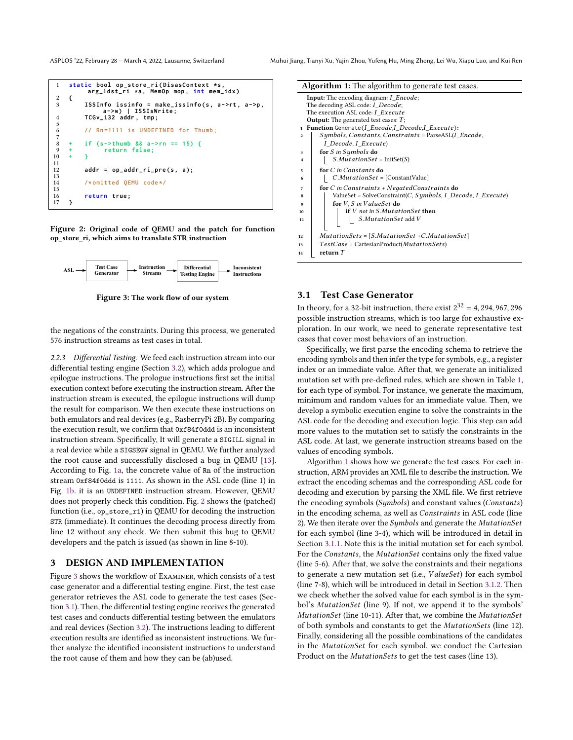ASPLOS '22, February 28 - March 4, 2022, Lausanne, Switzerland Muhui Jiang, Tianyi Xu, Yajin Zhou, Yufeng Hu, Ming Zhong, Lei Wu, Xiapu Luo, and Kui Ren

<span id="page-3-0"></span>

| $\mathbf{1}$  |         | static bool op_store_ri(DisasContext *s,<br>arg_ldst_ri *a, MemOp mop, int mem_idx) |
|---------------|---------|-------------------------------------------------------------------------------------|
|               | €       |                                                                                     |
| $\frac{2}{3}$ |         | ISSInfo issinfo = make_issinfo(s, $a$ ->rt, $a$ ->p,<br>a->w)   ISSIsWrite;         |
|               |         | TCGv_i32 addr, tmp;                                                                 |
| 4567          |         |                                                                                     |
|               |         | // Rn=1111 is UNDEFINED for Thumb;                                                  |
|               |         |                                                                                     |
| 8             |         |                                                                                     |
|               | $+$ $-$ | if $(s->thumb \& a->rn == 15)$ {                                                    |
| 9             | ÷       | return false;                                                                       |
| 10            | ÷.      | ٦                                                                                   |
| 11            |         |                                                                                     |
| 12            |         | $addr = op_{addr\_ri\_pre(s, a)}$                                                   |
| 13            |         |                                                                                     |
| 14            |         | /*omitted QEMU code*/                                                               |
| 15            |         |                                                                                     |
| 16            |         |                                                                                     |
|               |         | return true;                                                                        |
| 17            | λ       |                                                                                     |

Figure 2: Original code of QEMU and the patch for function op\_store\_ri, which aims to translate STR instruction

<span id="page-3-1"></span>

Figure 3: The work flow of our system

the negations of the constraints. During this process, we generated 576 instruction streams as test cases in total.

2.2.3 Differential Testing. We feed each instruction stream into our differential testing engine (Section [3.2\)](#page-4-0), which adds prologue and epilogue instructions. The prologue instructions first set the initial execution context before executing the instruction stream. After the instruction stream is executed, the epilogue instructions will dump the result for comparison. We then execute these instructions on both emulators and real devices (e.g., RasberryPi 2B). By comparing the execution result, we confirm that 0xf84f0ddd is an inconsistent instruction stream. Specifically, It will generate a SIGILL signal in a real device while a SIGSEGV signal in QEMU. We further analyzed the root cause and successfully disclosed a bug in QEMU [\[13\]](#page-11-5). According to Fig. [1a,](#page-2-0) the concrete value of Rn of the instruction stream 0xf84f0ddd is 1111. As shown in the ASL code (line 1) in Fig. [1b.](#page-2-0) it is an UNDEFINED instruction stream. However, QEMU does not properly check this condition. Fig. [2](#page-3-0) shows the (patched) function (i.e., op\_store\_ri) in QEMU for decoding the instruction STR (immediate). It continues the decoding process directly from line 12 without any check. We then submit this bug to QEMU developers and the patch is issued (as shown in line 8-10).

# 3 DESIGN AND IMPLEMENTATION

Figure [3](#page-3-1) shows the workflow of Examiner, which consists of a test case generator and a differential testing engine. First, the test case generator retrieves the ASL code to generate the test cases (Section [3.1\)](#page-3-2). Then, the differential testing engine receives the generated test cases and conducts differential testing between the emulators and real devices (Section [3.2\)](#page-4-0). The instructions leading to different execution results are identified as inconsistent instructions. We further analyze the identified inconsistent instructions to understand the root cause of them and how they can be (ab)used.

|                | <b>Algorithm 1:</b> The algorithm to generate test cases.   |  |  |  |  |  |  |  |  |
|----------------|-------------------------------------------------------------|--|--|--|--|--|--|--|--|
|                |                                                             |  |  |  |  |  |  |  |  |
|                | <b>Input:</b> The encoding diagram: <i>I Encode</i> ;       |  |  |  |  |  |  |  |  |
|                | The decoding ASL code: I Decode;                            |  |  |  |  |  |  |  |  |
|                | The execution ASL code: I Execute                           |  |  |  |  |  |  |  |  |
|                | <b>Output:</b> The generated test cases: $T$ ;              |  |  |  |  |  |  |  |  |
| $\mathbf{1}$   | Function Generate(I Encode,I Decode,I Execute):             |  |  |  |  |  |  |  |  |
| $\mathbf{2}$   | Symbols, Constants, Constraints = ParseASL(I Encode,        |  |  |  |  |  |  |  |  |
|                | I Decode, I Execute)                                        |  |  |  |  |  |  |  |  |
| 3              | for S in Symbols do                                         |  |  |  |  |  |  |  |  |
| $\overline{4}$ | $S. MutationSet = \text{InitSet}(S)$                        |  |  |  |  |  |  |  |  |
| 5              | for $C$ in Constants do                                     |  |  |  |  |  |  |  |  |
| 6              | $C. MutationSet = [ConstantValue]$                          |  |  |  |  |  |  |  |  |
| 7              | for $C$ in Constraints + Negated Constraints do             |  |  |  |  |  |  |  |  |
| 8              | ValueSet = SolveConstraint(C, Symbols, I Decode, I Execute) |  |  |  |  |  |  |  |  |
| 9              | for V, S in ValueSet do                                     |  |  |  |  |  |  |  |  |
| 10             | if $V$ not in S.MutationSet then                            |  |  |  |  |  |  |  |  |
| 11             | S.MutationSet add V                                         |  |  |  |  |  |  |  |  |
|                |                                                             |  |  |  |  |  |  |  |  |
| 12             | $MutationSets = [S. MutationSet + C. MutationSet]$          |  |  |  |  |  |  |  |  |
| 13             | $TestCase = CartesianProduct(MutationSets)$                 |  |  |  |  |  |  |  |  |
| 14             | return $T$                                                  |  |  |  |  |  |  |  |  |

# <span id="page-3-3"></span><span id="page-3-2"></span>3.1 Test Case Generator

In theory, for a 32-bit instruction, there exist  $2^{32} = 4$ , 294, 967, 296 possible instruction streams, which is too large for exhaustive exploration. In our work, we need to generate representative test cases that cover most behaviors of an instruction.

Specifically, we first parse the encoding schema to retrieve the encoding symbols and then infer the type for symbols, e.g., a register index or an immediate value. After that, we generate an initialized mutation set with pre-defined rules, which are shown in Table [1,](#page-4-1) for each type of symbol. For instance, we generate the maximum, minimum and random values for an immediate value. Then, we develop a symbolic execution engine to solve the constraints in the ASL code for the decoding and execution logic. This step can add more values to the mutation set to satisfy the constraints in the ASL code. At last, we generate instruction streams based on the values of encoding symbols.

Algorithm [1](#page-3-3) shows how we generate the test cases. For each instruction, ARM provides an XML file to describe the instruction. We extract the encoding schemas and the corresponding ASL code for decoding and execution by parsing the XML file. We first retrieve the encoding symbols (Symbols) and constant values (Constants) in the encoding schema, as well as Constraints in ASL code (line 2). We then iterate over the Symbols and generate the MutationSet for each symbol (line 3-4), which will be introduced in detail in Section [3.1.1.](#page-4-1) Note this is the initial mutation set for each symbol. For the Constants, the MutationSet contains only the fixed value (line 5-6). After that, we solve the constraints and their negations to generate a new mutation set (i.e.,  $ValueSet$ ) for each symbol (line 7-8), which will be introduced in detail in Section [3.1.2.](#page-4-2) Then we check whether the solved value for each symbol is in the symbol's MutationSet (line 9). If not, we append it to the symbols' MutationSet (line 10-11). After that, we combine the MutationSet of both symbols and constants to get the *MutationSets* (line 12). Finally, considering all the possible combinations of the candidates in the MutationSet for each symbol, we conduct the Cartesian Product on the *MutationSets* to get the test cases (line 13).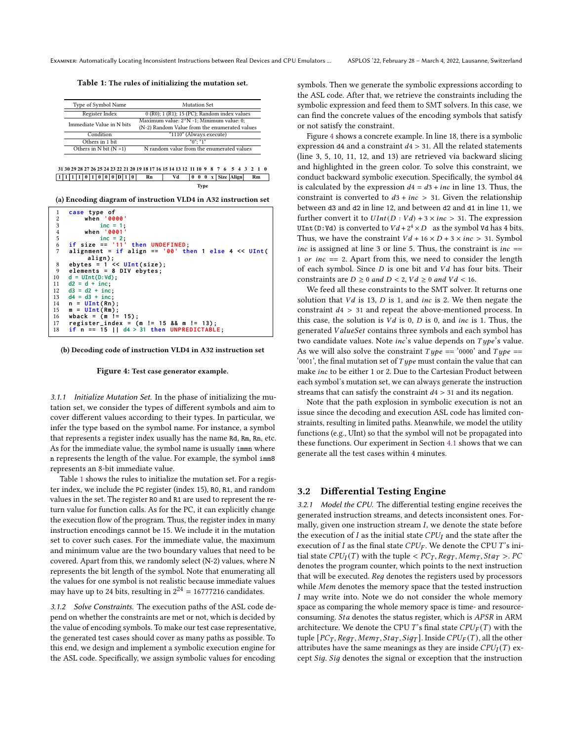<span id="page-4-1"></span>Table 1: The rules of initializing the mutation set.

| Type of Symbol Name       | Mutation Set                                     |
|---------------------------|--------------------------------------------------|
| Register Index            | $(0 (R0); 1 (R1); 15 (PC); Random index values)$ |
| Immediate Value in N bits | Maximum value: 2^N -1; Minimum value: 0;         |
|                           | (N-2) Random Value from the enumerated values    |
| Condition                 | $\sqrt{T1110}$ (Always execute)                  |
| Others in 1 bit           | $"0"$ : "1"                                      |
| Others in N bit $(N > 1)$ | N random value from the enumerated values        |
|                           |                                                  |

```
1 1 1 1 0 1 0 0 0 D 1 0 Rn Vd Rm
0 0 0 x Size Align
 31 30 29 28 27 26 25 24 23 22 21 20 19 18 17 16 15 14 13 12 11 10 9 8 7 6 5 4 3 2 1 0
                                               Type
```
(a) Encoding diagram of instruction VLD4 in A32 instruction set

| 1              | case type of                                          |
|----------------|-------------------------------------------------------|
| $\overline{c}$ | when '0000'                                           |
| 3              | inc = $1$ :                                           |
| $\frac{4}{5}$  | when '0001'                                           |
|                | $inc = 2$ :                                           |
| 6              | if size $== '11'$ then UNDEFINED;                     |
| 7              | alignment = if align == $'00'$ then 1 else 4 << UInt( |
|                | $align$ :                                             |
| 8              | ebytes = $1 \leq \text{UInt}(\text{size})$ ;          |
| 9              | elements = $8$ DIV ebytes;                            |
| 10             | $d = \text{UInt}(D:Vd)$ ;                             |
| 11             | $d2 = d + inc$ ;                                      |
| 12             | $d3 = d2 + inc$ ;                                     |
| 13             | $d4 = d3 + inc$ ;                                     |
| 14             | $n = \text{UInt(Rn)}$ ;                               |
| 15             | $m = \text{UInt}(Rm);$                                |
| 16             | wback = $(m != 15)$ ;                                 |
| 17             | register_index = $(m != 15 & 8 & m != 13);$           |
| 18             | if $n == 15$    $d4 > 31$ then UNPREDICTABLE;         |

(b) Decoding code of instruction VLD4 in A32 instruction set

#### Figure 4: Test case generator example.

3.1.1 Initialize Mutation Set. In the phase of initializing the mutation set, we consider the types of different symbols and aim to cover different values according to their types. In particular, we infer the type based on the symbol name. For instance, a symbol that represents a register index usually has the name Rd, Rm, Rn, etc. As for the immediate value, the symbol name is usually immn where n represents the length of the value. For example, the symbol imm8 represents an 8-bit immediate value.

Table [1](#page-4-1) shows the rules to initialize the mutation set. For a register index, we include the PC register (index 15), R0, R1, and random values in the set. The register R0 and R1 are used to represent the return value for function calls. As for the PC, it can explicitly change the execution flow of the program. Thus, the register index in many instruction encodings cannot be 15. We include it in the mutation set to cover such cases. For the immediate value, the maximum and minimum value are the two boundary values that need to be covered. Apart from this, we randomly select (N-2) values, where N represents the bit length of the symbol. Note that enumerating all the values for one symbol is not realistic because immediate values may have up to 24 bits, resulting in  $2^{24} = 16777216$  candidates.

<span id="page-4-2"></span>3.1.2 Solve Constraints. The execution paths of the ASL code depend on whether the constraints are met or not, which is decided by the value of encoding symbols. To make our test case representative, the generated test cases should cover as many paths as possible. To this end, we design and implement a symbolic execution engine for the ASL code. Specifically, we assign symbolic values for encoding

symbols. Then we generate the symbolic expressions according to the ASL code. After that, we retrieve the constraints including the symbolic expression and feed them to SMT solvers. In this case, we can find the concrete values of the encoding symbols that satisfy or not satisfy the constraint.

Figure [4](#page-4-3) shows a concrete example. In line 18, there is a symbolic expression d4 and a constraint  $d4 > 31$ . All the related statements (line 3, 5, 10, 11, 12, and 13) are retrieved via backward slicing and highlighted in the green color. To solve this constraint, we conduct backward symbolic execution. Specifically, the symbol d4 is calculated by the expression  $d4 = d3 + inc$  in line 13. Thus, the constraint is converted to  $d3 + inc > 31$ . Given the relationship between d3 and d2 in line 12, and between d2 and d1 in line 11, we further convert it to  $UInt(D:Vd) + 3 \times inc > 31$ . The expression UInt(D:Vd) is converted to  $Vd + 2^4 \times D$  as the symbol Vd has 4 bits. Thus, we have the constraint  $Vd + 16 \times D + 3 \times inc > 31$ . Symbol inc is assigned at line 3 or line 5. Thus, the constraint is  $inc =$ 1 or  $inc == 2$ . Apart from this, we need to consider the length of each symbol. Since  $D$  is one bit and  $Vd$  has four bits. Their constraints are  $D \ge 0$  and  $D < 2$ ,  $Vd \ge 0$  and  $Vd < 16$ .

We feed all these constraints to the SMT solver. It returns one solution that  $Vd$  is 13,  $D$  is 1, and *inc* is 2. We then negate the constraint  $d4 > 31$  and repeat the above-mentioned process. In this case, the solution is  $Vd$  is 0,  $D$  is 0, and *inc* is 1. Thus, the generated ValueSet contains three symbols and each symbol has two candidate values. Note  $inc's$  value depends on  $Type's$  value. As we will also solve the constraint  $Type == '0000'$  and  $Type ==$ '0001', the final mutation set of  $Type$  must contain the value that can make *inc* to be either 1 or 2. Due to the Cartesian Product between each symbol's mutation set, we can always generate the instruction streams that can satisfy the constraint  $d_4 > 31$  and its negation.

Note that the path explosion in symbolic execution is not an issue since the decoding and execution ASL code has limited constraints, resulting in limited paths. Meanwhile, we model the utility functions (e.g., UInt) so that the symbol will not be propagated into these functions. Our experiment in Section [4.1](#page-5-0) shows that we can generate all the test cases within 4 minutes.

# <span id="page-4-0"></span>3.2 Differential Testing Engine

3.2.1 Model the CPU. The differential testing engine receives the generated instruction streams, and detects inconsistent ones. Formally, given one instruction stream  $I$ , we denote the state before the execution of  $I$  as the initial state  $CPU_I$  and the state after the execution of  $I$  as the final state  $CPU_F$ . We denote the CPU  $T$ 's initial state  $CPU_I(T)$  with the tuple <  $PC_T$ ,  $Reg_T$ ,  $Mem_T$ ,  $Sta_T > PC$ denotes the program counter, which points to the next instruction that will be executed. Reg denotes the registers used by processors while Mem denotes the memory space that the tested instruction I may write into. Note we do not consider the whole memory space as comparing the whole memory space is time- and resourceconsuming. Sta denotes the status register, which is APSR in ARM architecture. We denote the CPU  $T$ 's final state  $CPU_F(T)$  with the tuple  $[PC_T, Reg_T, Mem_T, Sta_T, Sig_T]$ . Inside  $CPU_F(T)$ , all the other attributes have the same meanings as they are inside  $CPU_I(T)$  except Sig. Sig denotes the signal or exception that the instruction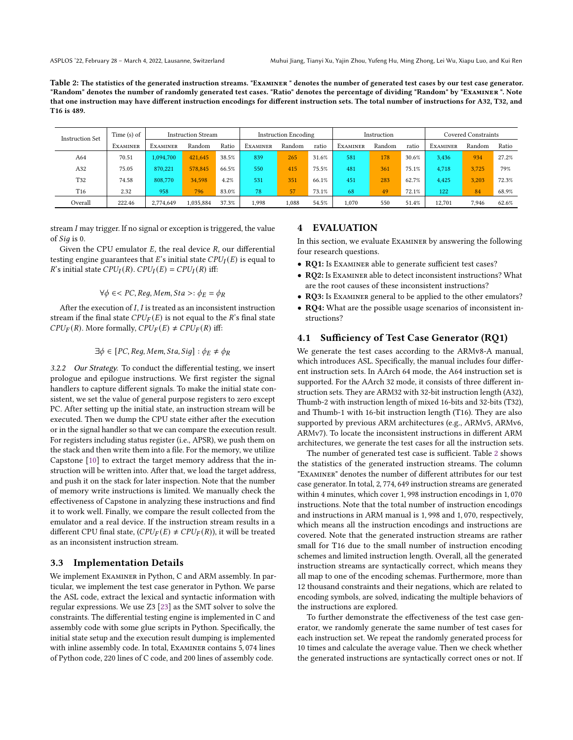<span id="page-5-1"></span>Table 2: The statistics of the generated instruction streams. "Examiner " denotes the number of generated test cases by our test case generator. "Random" denotes the number of randomly generated test cases. "Ratio" denotes the percentage of dividing "Random" by "Examiner ". Note that one instruction may have different instruction encodings for different instruction sets. The total number of instructions for A32, T32, and T16 is 489.

| <b>Instruction Set</b> | Time $(s)$ of   | <b>Instruction Stream</b> |           |       | <b>Instruction Encoding</b> |        |       | Instruction     |        |       | Covered Constraints |        |       |
|------------------------|-----------------|---------------------------|-----------|-------|-----------------------------|--------|-------|-----------------|--------|-------|---------------------|--------|-------|
|                        | <b>EXAMINER</b> | <b>EXAMINER</b>           | Random    | Ratio | <b>EXAMINER</b>             | Random | ratio | <b>EXAMINER</b> | Random | ratio | <b>EXAMINER</b>     | Random | Ratio |
| A64                    | 70.51           | 1.094.700                 | 421,645   | 38.5% | 839                         | 265    | 31.6% | 581             | 178    | 30.6% | 3.436               | 934    | 27.2% |
| A32                    | 75.05           | 870.221                   | 578,845   | 66.5% | 550                         | 415    | 75.5% | 481             | 361    | 75.1% | 4.718               | 3.725  | 79%   |
| T32                    | 74.58           | 808,770                   | 34.598    | 4.2%  | 531                         | 351    | 66.1% | 451             | 283    | 62.7% | 4.425               | 3.203  | 72.3% |
| T <sub>16</sub>        | 2.32            | 958                       | 796       | 83.0% | 78                          | 57     | 73.1% | 68              | 49     | 72.1% | 122                 | 84     | 68.9% |
| Overall                | 222.46          | 2.774.649                 | 1,035,884 | 37.3% | 1.998                       | 1.088  | 54.5% | 1.070           | 550    | 51.4% | 12.701              | 7.946  | 62.6% |

stream  $I$  may trigger. If no signal or exception is triggered, the value of  $Sig$  is 0.

Given the CPU emulator  $E$ , the real device  $R$ , our differential testing engine guarantees that  $E$ 's initial state  $CPU_I(E)$  is equal to R's initial state  $CPU_I(R)$ .  $CPU_I(E) = CPU_I(R)$  iff:

 $\forall \phi \in < PC$ , Reg, Mem, Sta >:  $\phi_E = \phi_R$ 

After the execution of  $I, I$  is treated as an inconsistent instruction stream if the final state  $CPU_F(E)$  is not equal to the R's final state  $CPU_F(R)$ . More formally,  $CPU_F(E) \neq CPU_F(R)$  iff:

# $\exists \phi \in [PC, Reg, Mem, Sta, Sig] : \phi_E \neq \phi_R$

3.2.2 Our Strategy. To conduct the differential testing, we insert prologue and epilogue instructions. We first register the signal handlers to capture different signals. To make the initial state consistent, we set the value of general purpose registers to zero except PC. After setting up the initial state, an instruction stream will be executed. Then we dump the CPU state either after the execution or in the signal handler so that we can compare the execution result. For registers including status register (i.e., APSR), we push them on the stack and then write them into a file. For the memory, we utilize Capstone [\[10\]](#page-11-9) to extract the target memory address that the instruction will be written into. After that, we load the target address, and push it on the stack for later inspection. Note that the number of memory write instructions is limited. We manually check the effectiveness of Capstone in analyzing these instructions and find it to work well. Finally, we compare the result collected from the emulator and a real device. If the instruction stream results in a different CPU final state,  $(CPU_F(E) \neq CPU_F(R))$ , it will be treated as an inconsistent instruction stream.

# 3.3 Implementation Details

We implement Examiner in Python, C and ARM assembly. In particular, we implement the test case generator in Python. We parse the ASL code, extract the lexical and syntactic information with regular expressions. We use Z3 [\[23\]](#page-12-35) as the SMT solver to solve the constraints. The differential testing engine is implemented in C and assembly code with some glue scripts in Python. Specifically, the initial state setup and the execution result dumping is implemented with inline assembly code. In total, Examiner contains 5, 074 lines of Python code, 220 lines of C code, and 200 lines of assembly code.

# 4 EVALUATION

In this section, we evaluate Examiner by answering the following four research questions.

- RQ1: Is EXAMINER able to generate sufficient test cases?
- RQ2: Is Examiner able to detect inconsistent instructions? What are the root causes of these inconsistent instructions?
- RQ3: Is Examiner general to be applied to the other emulators?
- RQ4: What are the possible usage scenarios of inconsistent instructions?

# <span id="page-5-0"></span>4.1 Sufficiency of Test Case Generator (RQ1)

We generate the test cases according to the ARMv8-A manual, which introduces ASL. Specifically, the manual includes four different instruction sets. In AArch 64 mode, the A64 instruction set is supported. For the AArch 32 mode, it consists of three different instruction sets. They are ARM32 with 32-bit instruction length (A32), Thumb-2 with instruction length of mixed 16-bits and 32-bits (T32), and Thumb-1 with 16-bit instruction length (T16). They are also supported by previous ARM architectures (e.g., ARMv5, ARMv6, ARMv7). To locate the inconsistent instructions in different ARM architectures, we generate the test cases for all the instruction sets.

The number of generated test case is sufficient. Table [2](#page-5-1) shows the statistics of the generated instruction streams. The column "Examiner" denotes the number of different attributes for our test case generator. In total, 2, 774, 649 instruction streams are generated within 4 minutes, which cover 1, 998 instruction encodings in 1, 070 instructions. Note that the total number of instruction encodings and instructions in ARM manual is 1, 998 and 1, 070, respectively, which means all the instruction encodings and instructions are covered. Note that the generated instruction streams are rather small for T16 due to the small number of instruction encoding schemes and limited instruction length. Overall, all the generated instruction streams are syntactically correct, which means they all map to one of the encoding schemas. Furthermore, more than 12 thousand constraints and their negations, which are related to encoding symbols, are solved, indicating the multiple behaviors of the instructions are explored.

To further demonstrate the effectiveness of the test case generator, we randomly generate the same number of test cases for each instruction set. We repeat the randomly generated process for 10 times and calculate the average value. Then we check whether the generated instructions are syntactically correct ones or not. If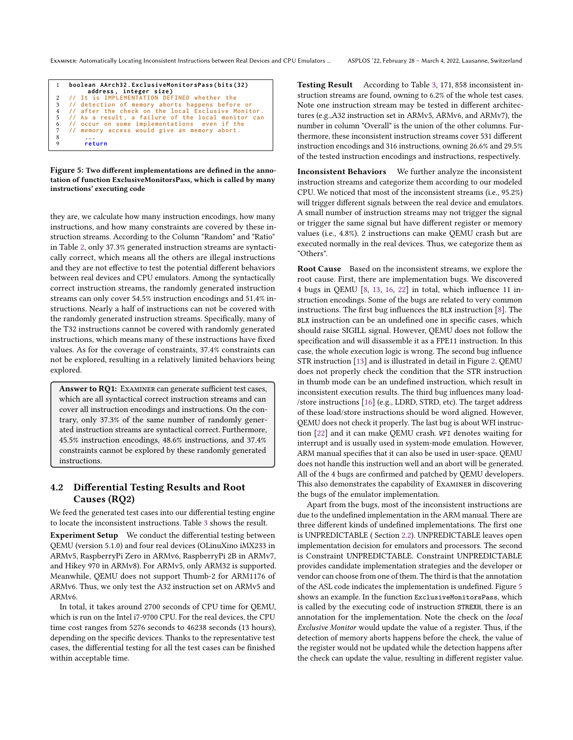<span id="page-6-0"></span>

|   | boolean AArch32.ExclusiveMonitorsPass(bits(32)<br>address, integer size) |
|---|--------------------------------------------------------------------------|
|   | 2 // It is IMPLEMENTATION DEFINED whether the                            |
|   | 3 // detection of memory aborts happens before or                        |
|   | 4 // after the check on the local Exclusive Monitor.                     |
|   | 5 // As a result, a failure of the local monitor can                     |
|   | 6 // occur on some implementations even if the                           |
|   | 7 // memory access would give an memory abort.                           |
| 8 |                                                                          |
| 9 | return                                                                   |

Figure 5: Two different implementations are defined in the annotation of function ExclusiveMonitorsPass, which is called by many instructions' executing code

they are, we calculate how many instruction encodings, how many instructions, and how many constraints are covered by these instruction streams. According to the Column "Random" and "Ratio" in Table [2,](#page-5-1) only 37.3% generated instruction streams are syntactically correct, which means all the others are illegal instructions and they are not effective to test the potential different behaviors between real devices and CPU emulators. Among the syntactically correct instruction streams, the randomly generated instruction streams can only cover 54.5% instruction encodings and 51.4% instructions. Nearly a half of instructions can not be covered with the randomly generated instruction streams. Specifically, many of the T32 instructions cannot be covered with randomly generated instructions, which means many of these instructions have fixed values. As for the coverage of constraints, 37.4% constraints can not be explored, resulting in a relatively limited behaviors being explored.

Answer to RQ1: EXAMINER can generate sufficient test cases, which are all syntactical correct instruction streams and can cover all instruction encodings and instructions. On the contrary, only 37.3% of the same number of randomly generated instruction streams are syntactical correct. Furthermore, 45.5% instruction encodings, 48.6% instructions, and 37.4% constraints cannot be explored by these randomly generated instructions.

# 4.2 Differential Testing Results and Root Causes (RQ2)

We feed the generated test cases into our differential testing engine to locate the inconsistent instructions. Table [3](#page-7-0) shows the result.

Experiment Setup We conduct the differential testing between QEMU (version 5.1.0) and four real devices (OLinuXino iMX233 in ARMv5, RaspberryPi Zero in ARMv6, RaspberryPi 2B in ARMv7, and Hikey 970 in ARMv8). For ARMv5, only ARM32 is supported. Meanwhile, QEMU does not support Thumb-2 for ARM1176 of ARMv6. Thus, we only test the A32 instruction set on ARMv5 and ARMv6.

In total, it takes around 2700 seconds of CPU time for QEMU, which is run on the Intel i7-9700 CPU. For the real devices, the CPU time cost ranges from 5276 seconds to 46238 seconds (13 hours), depending on the specific devices. Thanks to the representative test cases, the differential testing for all the test cases can be finished within acceptable time.

Testing Result According to Table [3,](#page-7-0) 171, 858 inconsistent instruction streams are found, owning to 6.2% of the whole test cases. Note one instruction stream may be tested in different architectures (e.g.,A32 instruction set in ARMv5, ARMv6, and ARMv7), the number in column "Overall" is the union of the other columns. Furthermore, these inconsistent instruction streams cover 531 different instruction encodings and 316 instructions, owning 26.6% and 29.5% of the tested instruction encodings and instructions, respectively.

Inconsistent Behaviors We further analyze the inconsistent instruction streams and categorize them according to our modeled CPU. We noticed that most of the inconsistent streams (i.e., 95.2%) will trigger different signals between the real device and emulators. A small number of instruction streams may not trigger the signal or trigger the same signal but have different register or memory values (i.e., 4.8%). 2 instructions can make QEMU crash but are executed normally in the real devices. Thus, we categorize them as "Others".

Root Cause Based on the inconsistent streams, we explore the root cause. First, there are implementation bugs. We discovered 4 bugs in QEMU [\[8,](#page-11-4) [13,](#page-11-5) [16,](#page-12-31) [22\]](#page-12-32) in total, which influence 11 instruction encodings. Some of the bugs are related to very common instructions. The first bug influences the BLX instruction [\[8\]](#page-11-4). The BLX instruction can be an undefined one in specific cases, which should raise SIGILL signal. However, QEMU does not follow the specification and will disassemble it as a FPE11 instruction. In this case, the whole execution logic is wrong. The second bug influence STR instruction [\[13\]](#page-11-5) and is illustrated in detail in Figure [2.](#page-3-0) QEMU does not properly check the condition that the STR instruction in thumb mode can be an undefined instruction, which result in inconsistent execution results. The third bug influences many load- /store instructions [\[16\]](#page-12-31) (e.g., LDRD, STRD, etc). The target address of these load/store instructions should be word aligned. However, QEMU does not check it properly. The last bug is about WFI instruction [\[22\]](#page-12-32) and it can make QEMU crash. WFI denotes waiting for interrupt and is usually used in system-mode emulation. However, ARM manual specifies that it can also be used in user-space. QEMU does not handle this instruction well and an abort will be generated. All of the 4 bugs are confirmed and patched by QEMU developers. This also demonstrates the capability of Examiner in discovering the bugs of the emulator implementation.

Apart from the bugs, most of the inconsistent instructions are due to the undefined implementation in the ARM manual. There are three different kinds of undefined implementations. The first one is UNPREDICTABLE ( Section [2.2\)](#page-2-1). UNPREDICTABLE leaves open implementation decision for emulators and processors. The second is Constraint UNPREDICTABLE. Constraint UNPREDICTABLE provides candidate implementation strategies and the developer or vendor can choose from one of them. The third is that the annotation of the ASL code indicates the implementation is undefined. Figure [5](#page-6-0) shows an example. In the function ExclusiveMonitorsPass, which is called by the executing code of instruction STREXH, there is an annotation for the implementation. Note the check on the local Exclusive Monitor would update the value of a register. Thus, if the detection of memory aborts happens before the check, the value of the register would not be updated while the detection happens after the check can update the value, resulting in different register value.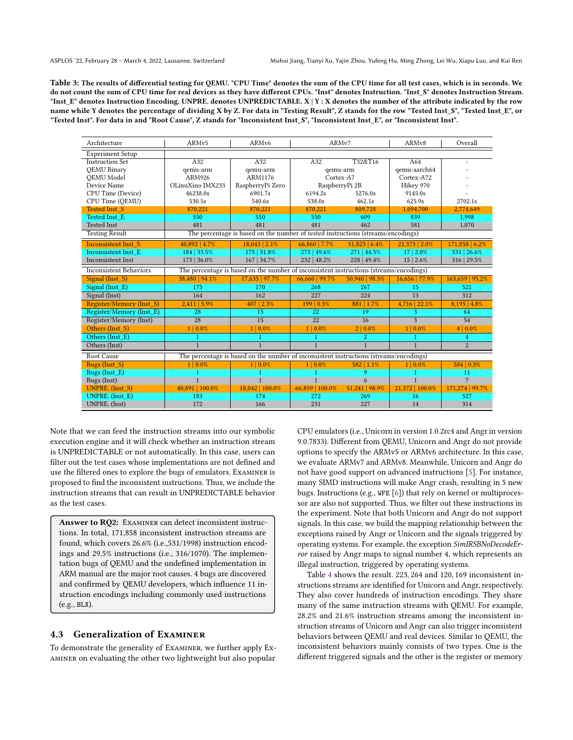<span id="page-7-0"></span>Table 3: The results of differential testing for QEMU. "CPU Time" denotes the sum of the CPU time for all test cases, which is in seconds. We do not count the sum of CPU time for real devices as they have different CPUs. "Inst" denotes Instruction. "Inst\_S" denotes Instruction Stream. "Inst\_E" denotes Instruction Encoding. UNPRE. denotes UNPREDICTABLE. X | Y : X denotes the number of the attribute indicated by the row name while Y denotes the percentage of dividing X by Z. For data in "Testing Result", Z stands for the row "Tested Inst\_S", "Tested Inst\_E", or "Tested Inst". For data in and "Root Cause", Z stands for "Inconsistent Inst\_S", "Inconsistent Inst\_E", or "Inconsistent Inst".

| Architecture                                                                                                            | ARMv5            | ARM <sub>v6</sub>                                                                      | ARM <sub>v7</sub>      |                   | ARM <sub>v</sub> 8     | Overall           |
|-------------------------------------------------------------------------------------------------------------------------|------------------|----------------------------------------------------------------------------------------|------------------------|-------------------|------------------------|-------------------|
| <b>Experiment Setup</b>                                                                                                 |                  |                                                                                        |                        |                   |                        |                   |
| <b>Instruction Set</b>                                                                                                  | A32              | A32                                                                                    | A32                    | T32&T16           |                        | ٠                 |
| <b>OEMU Binary</b>                                                                                                      | qemu-arm         | qemu-arm                                                                               | gemu-arm               |                   | qemu-aarch64           |                   |
| <b>OEMU</b> Model                                                                                                       | ARM926           | ARM1176                                                                                | Cortex-A7              |                   | Cortex-A72             |                   |
| Device Name                                                                                                             | OLinuXino IMX233 | RaspberryPi Zero                                                                       | RaspberryPi 2B         |                   | Hikey 970              |                   |
| CPU Time (Device)                                                                                                       | 46238.0s         | 6901.7s                                                                                | 6194.2s                | 5276.0s           | 9145.0s                |                   |
| CPU Time (QEMU)                                                                                                         | 530.5s           | 540.6s                                                                                 | 538.0s                 | 462.1s            | 625.9s                 | 2702.1s           |
| <b>Tested Inst S</b>                                                                                                    | 870,221          | 870,221                                                                                | 870,221                | 809,728           | 1,094,700              | 2,774,649         |
| Tested Inst E                                                                                                           | 550              | 550                                                                                    | 550                    | 609               | 839                    | 1,998             |
| <b>Tested Inst</b>                                                                                                      | 481              | 481                                                                                    | 481                    | 462               | 581                    | 1,070             |
| <b>Testing Result</b>                                                                                                   |                  | The percentage is based on the number of tested instructions (streams/encodings)       |                        |                   |                        |                   |
| <b>Inconsistent Inst S</b>                                                                                              | 40,892   4.7%    | $18,043$   $2.1\%$                                                                     | 66,860   7.7%          | 51,823   6.4%     | 21,373   2.0%          | 171,858   6.2%    |
| <b>Inconsistent Inst E</b>                                                                                              | 184   33.5%      | 175   31.8%                                                                            | 273   49.6%            | $271 \mid 44.5\%$ | 17   2.0%              | 531   26.6%       |
| <b>Inconsistent Inst</b>                                                                                                | 173   36.0%      | 167   34.7%                                                                            | 232   48.2%            | $228 \mid 49.4\%$ | $15 \mid 2.6\%$        | 316   29.5%       |
| The percentage is based on the number of inconsistent instructions (streams/encodings)<br><b>Inconsistent Behaviors</b> |                  |                                                                                        |                        |                   |                        |                   |
| Signal (Inst S)                                                                                                         | 38,480   94.1%   | 17,635   97.7%                                                                         | 66,660   99.7%         | 50,940   98.3%    | 16,656   77.9%         | 163.659   95.2%   |
| Signal (Inst E)                                                                                                         | 175              | 170                                                                                    | 268                    | 267               | 15                     | 521               |
| Signal (Inst)                                                                                                           | 164              | 162                                                                                    | 227                    | 224               | 13                     | 312               |
| Register/Memory (Inst S)                                                                                                | $2,411$ 5.9%     | 407   2.3%                                                                             | 199   0.3%             | 881   1.7%        | 4,716   22.1%          | $8,195$   $4.8\%$ |
| Register/Memory (Inst E)                                                                                                | 28               | 15                                                                                     | 22                     | 19                | 3                      | 64                |
| Register/Memory (Inst)                                                                                                  | 28               | 15                                                                                     | 22                     | 16                | 3                      | 54                |
| Others (Inst S)                                                                                                         | 1   0.0%         | $1   0.0\%$                                                                            | 0.0%<br>1 <sup>1</sup> | $2   0.0\%$       | 0.0%<br>1 <sup>1</sup> | $4 0.0\%$         |
| Others (Inst E)                                                                                                         |                  |                                                                                        |                        | $\overline{2}$    |                        | 4                 |
| Others (Inst)                                                                                                           | $\mathbf{1}$     | $\mathbf{1}$                                                                           | $\mathbf{1}$           | $\mathbf{1}$      | $\mathbf{1}$           | $\overline{c}$    |
| Root Cause                                                                                                              |                  | The percentage is based on the number of inconsistent instructions (streams/encodings) |                        |                   |                        |                   |
| Bugs (Inst S)                                                                                                           | $1   0.0\%$      | $1   0.0\%$                                                                            | $1   0.0\%$            | 582   1.1%        | $1   0.0\%$            | 584   0.3%        |
| Bugs (Inst E)                                                                                                           | 1                | 1                                                                                      | $\mathbf{1}$           | 9                 |                        | 11                |
| Bugs (Inst)                                                                                                             | $\mathbf{1}$     | $\mathbf{1}$                                                                           | $\mathbf{1}$           | 6                 | $\mathbf{1}$           | 7                 |
| UNPRE. (Inst S)                                                                                                         | 40,891   100.0%  | 18,042 100.0%                                                                          | 66.859   100.0%        | 51,241   98.9%    | 21.372   100.0%        | 171,274   99.7%   |
| UNPRE. (Inst E)                                                                                                         | 183              | 174                                                                                    | 272                    | 269               | 16                     | 527               |
| UNPRE. (Inst)                                                                                                           | 172              | 166                                                                                    | 231                    | 227               | 14                     | 314               |

Note that we can feed the instruction streams into our symbolic execution engine and it will check whether an instruction stream is UNPREDICTABLE or not automatically. In this case, users can filter out the test cases whose implementations are not defined and use the filtered ones to explore the bugs of emulators. Examiner is proposed to find the inconsistent instructions. Thus, we include the instruction streams that can result in UNPREDICTABLE behavior as the test cases.

Answer to RQ2: EXAMINER can detect inconsistent instructions. In total, 171,858 inconsistent instruction streams are found, which covers 26.6% (i.e.,531/1998) instruction encodings and 29.5% instructions (i.e., 316/1070). The implementation bugs of QEMU and the undefined implementation in ARM manual are the major root causes. 4 bugs are discovered and confirmed by QEMU developers, which influence 11 instruction encodings including commonly used instructions (e.g., BLX).

#### 4.3 Generalization of Examiner

To demonstrate the generality of Examiner, we further apply Examiner on evaluating the other two lightweight but also popular

CPU emulators (i.e., Unicorn in version 1.0.2rc4 and Angr in version 9.0.7833). Different from QEMU, Unicorn and Angr do not provide options to specify the ARMv5 or ARMv6 architecture. In this case, we evaluate ARMv7 and ARMv8. Meanwhile, Unicorn and Angr do not have good support on advanced instructions [\[5\]](#page-11-10). For instance, many SIMD instructions will make Angr crash, resulting in 5 new bugs. Instructions (e.g., WFE [\[6\]](#page-11-11)) that rely on kernel or multiprocessor are also not supported. Thus, we filter out these instructions in the experiment. Note that both Unicorn and Angr do not support signals. In this case, we build the mapping relationship between the exceptions raised by Angr or Unicorn and the signals triggered by operating systems. For example, the exception SimIRSBNoDecodeError raised by Angr maps to signal number 4, which represents an illegal instruction, triggered by operating systems.

Table [4](#page-8-1) shows the result. 223, 264 and 120, 169 inconsistent instructions streams are identified for Unicorn and Angr, respectively. They also cover hundreds of instruction encodings. They share many of the same instruction streams with QEMU. For example, 28.2% and 21.6% instruction streams among the inconsistent instruction streams of Unicorn and Angr can also trigger inconsistent behaviors between QEMU and real devices. Similar to QEMU, the inconsistent behaviors mainly consists of two types. One is the different triggered signals and the other is the register or memory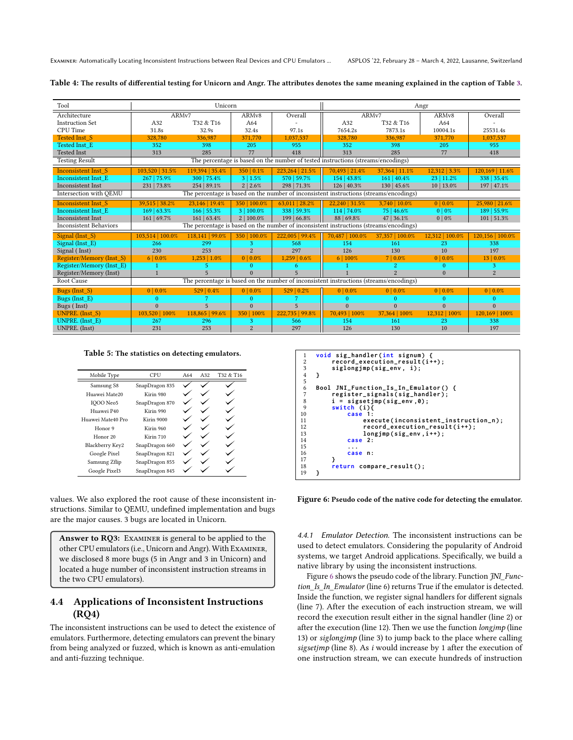| Tool                          |                  | Unicorn         |                    |                   | Angr                                                                                   |                     |                    |                  |
|-------------------------------|------------------|-----------------|--------------------|-------------------|----------------------------------------------------------------------------------------|---------------------|--------------------|------------------|
| Architecture                  | ARMv7            |                 | ARM <sub>v</sub> 8 | Overall           | ARM <sub>v7</sub>                                                                      |                     | ARM <sub>v</sub> 8 | Overall          |
| <b>Instruction Set</b>        | A32              | T32 & T16       | A64                |                   | A32                                                                                    | T32 & T16           | A64                |                  |
| CPU Time                      | 31.8s            | 32.9s           | 32.4s              | 97.1s             | 7654.2s                                                                                | 7873.1s             | 10004.1s           | 25531.4s         |
| <b>Tested Inst S</b>          | 328,780          | 336,987         | 371,770            | 1,037,537         | 328,780                                                                                | 336,987             | 371,770            | 1,037,537        |
| Tested Inst E                 | 352              | 398             | 205                | 955               | 352                                                                                    | 398                 | 205                | 955              |
| <b>Tested Inst</b>            | 313              | 285             | 77                 | 418               | 313                                                                                    | 285                 | 77                 | 418              |
| <b>Testing Result</b>         |                  |                 |                    |                   | The percentage is based on the number of tested instructions (streams/encodings)       |                     |                    |                  |
| <b>Inconsistent Inst S</b>    | 103,520   31.5%  | 119,394   35.4% | 350   0.1%         | 223,264   21.5%   | 70,493   21.4%                                                                         | 37,364   11.1%      | 12,312   3.3%      | 120,169   11.6%  |
| Inconsistent Inst E           | 267   75.9%      | 300   75.4%     | 3   1.5%           | 570   59.7%       | 154   43.8%                                                                            | 161   40.4%         | 23   11.2%         | 338 35.4%        |
| Inconsistent Inst             | 231   73.8%      | 254   89.1%     | 2 2.6%             | 298   71.3%       | 126   40.3%                                                                            | 130   45.6%         | 10   13.0%         | 197   47.1%      |
| Intersection with OEMU        |                  |                 |                    |                   | The percentage is based on the number of inconsistent instructions (streams/encodings) |                     |                    |                  |
| <b>Inconsistent Inst S</b>    | 39,515   38.2%   | 23.146   19.4%  | 350   100.0%       | 63,011   28.2%    | 22.240 31.5%                                                                           | $3.740 \mid 10.0\%$ | $0   0.0\%$        | 25,980   21.6%   |
| Inconsistent Inst E           | 169   63.3%      | 166 55.3%       | 3   100.0%         | 338 59.3%         | 114   74.0%                                                                            | 75   46.6%          | 0 <sup>10</sup>    | 189   55.9%      |
| Inconsistent Inst             | 161   69.7%      | 161   63.4%     | 2   100.0%         | 199   66.8%       | 88   69.8%                                                                             | 47   36.1%          | $0   0\%$          | 101   51.3%      |
| <b>Inconsistent Behaviors</b> |                  |                 |                    |                   | The percentage is based on the number of inconsistent instructions (streams/encodings) |                     |                    |                  |
| Signal (Inst S)               | 103,514   100.0% | 118,141   99.0% | 350   100.0%       | 222,005   99.4%   | 70,487   100.0%                                                                        | 37,357   100.0%     | 12,312   100.0%    | 120,156   100.0% |
| Signal (Inst E)               | 266              | 299             | 3                  | 568               | 154                                                                                    | 161                 | 23                 | 338              |
| Signal (Inst)                 | 230              | 253             | $\overline{2}$     | 297               | 126                                                                                    | 130                 | 10                 | 197              |
| Register/Memory (Inst S)      | $6 0.0\%$        | 1,253   1.0%    | 0   0.0%           | $1,259$   $0.6\%$ | 6 100%                                                                                 | 7 0.0%              | 0   0.0%           | 13 0.0%          |
| Register/Memory (Inst E)      |                  | 5               | $\Omega$           | 6.                |                                                                                        | 2.                  | $\Omega$           | 3.               |
| Register/Memory (Inst)        | $\overline{1}$   | 5               | $\Omega$           | 5                 |                                                                                        | $\overline{2}$      | $\Omega$           | $\overline{c}$   |
| Root Cause                    |                  |                 |                    |                   | The percentage is based on the number of inconsistent instructions (streams/encodings) |                     |                    |                  |
| Bugs (Inst S)                 | $0   0.0\%$      | 529   0.4%      | $0   0.0\%$        | 529   0.2%        | $0   0.0\%$                                                                            | $0   0.0\%$         | $0   0.0\%$        | $0   0.0\%$      |
| Bugs (Inst E)                 | $\mathbf{0}$     | 7               | $\bf{0}$           |                   | $\Omega$                                                                               | $\Omega$            | $\bf{0}$           | $\bf{0}$         |
| Bugs (Inst)                   | $\theta$         | 5               | $\Omega$           | 5                 | $\Omega$                                                                               | $\Omega$            | $\mathbf{0}$       | $\mathbf{0}$     |
| UNPRE. (Inst S)               | 103,520   100%   | 118,865   99.6% | 350   100%         | 222,735   99.8%   | 70.493   100%                                                                          | 37,364   100%       | 12,312   100%      | 120,169   100%   |
| UNPRE. (Inst E)               | 267              | 296             | 3                  | 566               | 154                                                                                    | 161                 | 23                 | 338              |
| UNPRE. (Inst)                 | 231              | 253             | $\overline{2}$     | 297               | 126                                                                                    | 130                 | 10                 | 197              |

<span id="page-8-1"></span>Table 4: The results of differential testing for Unicorn and Angr. The attributes denotes the same meaning explained in the caption of Table [3.](#page-7-0)

<span id="page-8-3"></span>Table 5: The statistics on detecting emulators.

| Mobile Type         | CPU            | A64 | A32 | T <sub>32</sub> & T <sub>16</sub> |
|---------------------|----------------|-----|-----|-----------------------------------|
| Samsung S8          | SnapDragon 835 |     |     |                                   |
| Huawei Mate20       | Kirin 980      |     |     |                                   |
| IOOO Neo5           | SnapDragon 870 |     |     |                                   |
| Huawei P40          | Kirin 990      |     |     |                                   |
| Huawei Mate40 Pro   | Kirin 9000     |     |     |                                   |
| Honor 9             | Kirin 960      |     |     |                                   |
| Honor <sub>20</sub> | Kirin 710      |     |     |                                   |
| Blackberry Key2     | SnapDragon 660 |     |     |                                   |
| Google Pixel        | SnapDragon 821 |     |     |                                   |
| Samsung Zflip       | SnapDragon 855 |     |     |                                   |
| Google Pixel3       | SnapDragon 845 |     |     |                                   |

values. We also explored the root cause of these inconsistent instructions. Similar to QEMU, undefined implementation and bugs are the major causes. 3 bugs are located in Unicorn.

Answer to RQ3: EXAMINER is general to be applied to the other CPU emulators (i.e., Unicorn and Angr). With Examiner, we disclosed 8 more bugs (5 in Angr and 3 in Unicorn) and located a huge number of inconsistent instruction streams in the two CPU emulators).

# <span id="page-8-0"></span>4.4 Applications of Inconsistent Instructions (RQ4)

The inconsistent instructions can be used to detect the existence of emulators. Furthermore, detecting emulators can prevent the binary from being analyzed or fuzzed, which is known as anti-emulation and anti-fuzzing technique.

<span id="page-8-2"></span>

Figure 6: Pseudo code of the native code for detecting the emulator.

4.4.1 Emulator Detection. The inconsistent instructions can be used to detect emulators. Considering the popularity of Android systems, we target Android applications. Specifically, we build a native library by using the inconsistent instructions.

Figure [6](#page-8-2) shows the pseudo code of the library. Function  $JNI\_Func$ tion\_Is\_In\_Emulator (line 6) returns True if the emulator is detected. Inside the function, we register signal handlers for different signals (line 7). After the execution of each instruction stream, we will record the execution result either in the signal handler (line 2) or after the execution (line 12). Then we use the function longjmp (line 13) or siglongjmp (line 3) to jump back to the place where calling sigsetjmp (line 8). As  $i$  would increase by 1 after the execution of one instruction stream, we can execute hundreds of instruction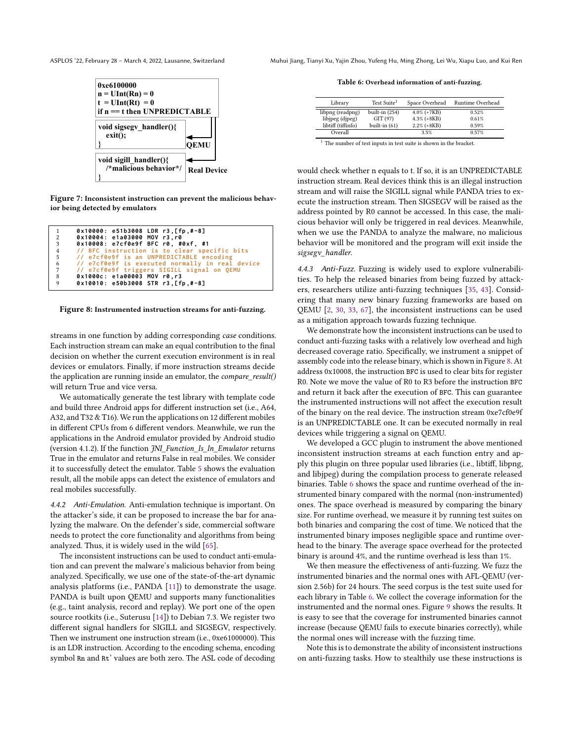

Figure 7: Inconsistent instruction can prevent the malicious behavior being detected by emulators

<span id="page-9-0"></span>

| 1 | $0x10000: e51b3008 LDR r3. [fp.+8]$               |
|---|---------------------------------------------------|
| 2 | 0x10004: e1a03000 MOV r3.r0                       |
| 3 | 0x10008: e7cf0e9f BFC r0, #0xf, #1                |
|   | 4 // BFC instruction is to clear specific bits    |
|   | 5 // e7cf0e9f is an UNPREDICTABLE encoding        |
|   | 6 // e7cf0e9f is executed normally in real device |
| 7 | // e7cf0e9f triggers SIGILL signal on QEMU        |
| 8 | 0x1000c: e1a00003 MOV r0,r3                       |
| 9 | 0x10010: e50b3008 STR r3, [fp.#-8]                |

#### Figure 8: Instrumented instruction streams for anti-fuzzing.

streams in one function by adding corresponding case conditions. Each instruction stream can make an equal contribution to the final decision on whether the current execution environment is in real devices or emulators. Finally, if more instruction streams decide the application are running inside an emulator, the compare\_result() will return True and vice versa.

We automatically generate the test library with template code and build three Android apps for different instruction set (i.e., A64, A32, and T32 & T16). We run the applications on 12 different mobiles in different CPUs from 6 different vendors. Meanwhile, we run the applications in the Android emulator provided by Android studio (version 4.1.2). If the function JNI\_Function\_Is\_In\_Emulator returns True in the emulator and returns False in real mobiles. We consider it to successfully detect the emulator. Table [5](#page-8-3) shows the evaluation result, all the mobile apps can detect the existence of emulators and real mobiles successfully.

4.4.2 Anti-Emulation. Anti-emulation technique is important. On the attacker's side, it can be proposed to increase the bar for analyzing the malware. On the defender's side, commercial software needs to protect the core functionality and algorithms from being analyzed. Thus, it is widely used in the wild [\[65\]](#page-12-36).

The inconsistent instructions can be used to conduct anti-emulation and can prevent the malware's malicious behavior from being analyzed. Specifically, we use one of the state-of-the-art dynamic analysis platforms (i.e., PANDA [\[11\]](#page-11-12)) to demonstrate the usage. PANDA is built upon QEMU and supports many functionalities (e.g., taint analysis, record and replay). We port one of the open source rootkits (i.e., Suterusu [\[14\]](#page-11-13)) to Debian 7.3. We register two different signal handlers for SIGILL and SIGSEGV, respectively. Then we instrument one instruction stream (i.e., 0xe61000000). This is an LDR instruction. According to the encoding schema, encoding symbol Rn and Rt' values are both zero. The ASL code of decoding

ASPLOS '22, February 28 - March 4, 2022, Lausanne, Switzerland Muhui Jiang, Tianyi Xu, Yajin Zhou, Yufeng Hu, Ming Zhong, Lei Wu, Xiapu Luo, and Kui Ren

<span id="page-9-1"></span>Table 6: Overhead information of anti-fuzzing.

| Library            | Test Suite <sup>1</sup> | Space Overhead | Runtime Overhead |
|--------------------|-------------------------|----------------|------------------|
| libpng (readpng)   | built-in (254)          | $4.0\%$ (+7KB) | 0.52%            |
| libjpeg (djpeg)    | GIT (97)                | $4.3\%$ (+8KB) | 0.61%            |
| libtiff (tiffinfo) | built-in $(61)$         | $2.2\%$ (+8KB) | 0.59%            |
| Overall            |                         | 3.5%           | 0.57%            |

 $^{\rm 1}$  The number of test inputs in test suite is shown in the bracket.

would check whether n equals to t. If so, it is an UNPREDICTABLE instruction stream. Real devices think this is an illegal instruction stream and will raise the SIGILL signal while PANDA tries to execute the instruction stream. Then SIGSEGV will be raised as the address pointed by R0 cannot be accessed. In this case, the malicious behavior will only be triggered in real devices. Meanwhile, when we use the PANDA to analyze the malware, no malicious behavior will be monitored and the program will exit inside the sigsegv\_handler.

4.4.3 Anti-Fuzz. Fuzzing is widely used to explore vulnerabilities. To help the released binaries from being fuzzed by attackers, researchers utilize anti-fuzzing techniques [\[35,](#page-12-37) [43\]](#page-12-38). Considering that many new binary fuzzing frameworks are based on QEMU [\[2,](#page-11-3) [30,](#page-12-19) [33,](#page-12-18) [67\]](#page-12-17), the inconsistent instructions can be used as a mitigation approach towards fuzzing technique.

We demonstrate how the inconsistent instructions can be used to conduct anti-fuzzing tasks with a relatively low overhead and high decreased coverage ratio. Specifically, we instrument a snippet of assembly code into the release binary, which is shown in Figure [8.](#page-9-0) At address 0x10008, the instruction BFC is used to clear bits for register R0. Note we move the value of R0 to R3 before the instruction BFC and return it back after the execution of BFC. This can guarantee the instrumented instructions will not affect the execution result of the binary on the real device. The instruction stream 0xe7cf0e9f is an UNPREDICTABLE one. It can be executed normally in real devices while triggering a signal on QEMU.

We developed a GCC plugin to instrument the above mentioned inconsistent instruction streams at each function entry and apply this plugin on three popular used libraries (i.e., libtiff, libpng, and libjpeg) during the compilation process to generate released binaries. Table [6](#page-9-1) shows the space and runtime overhead of the instrumented binary compared with the normal (non-instrumented) ones. The space overhead is measured by comparing the binary size. For runtime overhead, we measure it by running test suites on both binaries and comparing the cost of time. We noticed that the instrumented binary imposes negligible space and runtime overhead to the binary. The average space overhead for the protected binary is around 4%, and the runtime overhead is less than 1%.

We then measure the effectiveness of anti-fuzzing. We fuzz the instrumented binaries and the normal ones with AFL-QEMU (version 2.56b) for 24 hours. The seed corpus is the test suite used for each library in Table [6.](#page-9-1) We collect the coverage information for the instrumented and the normal ones. Figure [9](#page-10-1) shows the results. It is easy to see that the coverage for instrumented binaries cannot increase (because QEMU fails to execute binaries correctly), while the normal ones will increase with the fuzzing time.

Note this is to demonstrate the ability of inconsistent instructions on anti-fuzzing tasks. How to stealthily use these instructions is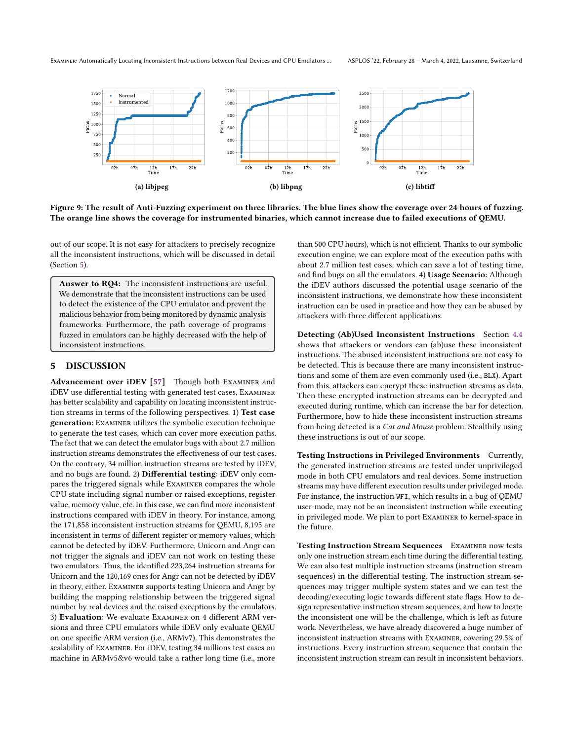<span id="page-10-1"></span>Examiner: Automatically Locating Inconsistent Instructions between Real Devices and CPU Emulators ... ASPLOS '22, February 28 – March 4, 2022, Lausanne, Switzerland



Figure 9: The result of Anti-Fuzzing experiment on three libraries. The blue lines show the coverage over 24 hours of fuzzing. The orange line shows the coverage for instrumented binaries, which cannot increase due to failed executions of QEMU.

out of our scope. It is not easy for attackers to precisely recognize all the inconsistent instructions, which will be discussed in detail (Section [5\)](#page-10-0).

Answer to RQ4: The inconsistent instructions are useful. We demonstrate that the inconsistent instructions can be used to detect the existence of the CPU emulator and prevent the malicious behavior from being monitored by dynamic analysis frameworks. Furthermore, the path coverage of programs fuzzed in emulators can be highly decreased with the help of inconsistent instructions.

# <span id="page-10-0"></span>5 DISCUSSION

Advancement over iDEV [\[57\]](#page-12-27) Though both EXAMINER and iDEV use differential testing with generated test cases, Examiner has better scalability and capability on locating inconsistent instruction streams in terms of the following perspectives. 1) Test case generation: Examiner utilizes the symbolic execution technique to generate the test cases, which can cover more execution paths. The fact that we can detect the emulator bugs with about 2.7 million instruction streams demonstrates the effectiveness of our test cases. On the contrary, 34 million instruction streams are tested by iDEV, and no bugs are found. 2) Differential testing: iDEV only compares the triggered signals while Examiner compares the whole CPU state including signal number or raised exceptions, register value, memory value, etc. In this case, we can find more inconsistent instructions compared with iDEV in theory. For instance, among the 171,858 inconsistent instruction streams for QEMU, 8,195 are inconsistent in terms of different register or memory values, which cannot be detected by iDEV. Furthermore, Unicorn and Angr can not trigger the signals and iDEV can not work on testing these two emulators. Thus, the identified 223,264 instruction streams for Unicorn and the 120,169 ones for Angr can not be detected by iDEV in theory, either. Examiner supports testing Unicorn and Angr by building the mapping relationship between the triggered signal number by real devices and the raised exceptions by the emulators. 3) Evaluation: We evaluate Examiner on 4 different ARM versions and three CPU emulators while iDEV only evaluate QEMU on one specific ARM version (i.e., ARMv7). This demonstrates the scalability of Examiner. For iDEV, testing 34 millions test cases on machine in ARMv5&v6 would take a rather long time (i.e., more

than 500 CPU hours), which is not efficient. Thanks to our symbolic execution engine, we can explore most of the execution paths with about 2.7 million test cases, which can save a lot of testing time, and find bugs on all the emulators. 4) Usage Scenario: Although the iDEV authors discussed the potential usage scenario of the inconsistent instructions, we demonstrate how these inconsistent instruction can be used in practice and how they can be abused by attackers with three different applications.

Detecting (Ab)Used Inconsistent Instructions Section [4.4](#page-8-0) shows that attackers or vendors can (ab)use these inconsistent instructions. The abused inconsistent instructions are not easy to be detected. This is because there are many inconsistent instructions and some of them are even commonly used (i.e., BLX). Apart from this, attackers can encrypt these instruction streams as data. Then these encrypted instruction streams can be decrypted and executed during runtime, which can increase the bar for detection. Furthermore, how to hide these inconsistent instruction streams from being detected is a Cat and Mouse problem. Stealthily using these instructions is out of our scope.

Testing Instructions in Privileged Environments Currently, the generated instruction streams are tested under unprivileged mode in both CPU emulators and real devices. Some instruction streams may have different execution results under privileged mode. For instance, the instruction WFI, which results in a bug of QEMU user-mode, may not be an inconsistent instruction while executing in privileged mode. We plan to port Examiner to kernel-space in the future.

Testing Instruction Stream Sequences Examiner now tests only one instruction stream each time during the differential testing. We can also test multiple instruction streams (instruction stream sequences) in the differential testing. The instruction stream sequences may trigger multiple system states and we can test the decoding/executing logic towards different state flags. How to design representative instruction stream sequences, and how to locate the inconsistent one will be the challenge, which is left as future work. Nevertheless, we have already discovered a huge number of inconsistent instruction streams with Examiner, covering 29.5% of instructions. Every instruction stream sequence that contain the inconsistent instruction stream can result in inconsistent behaviors.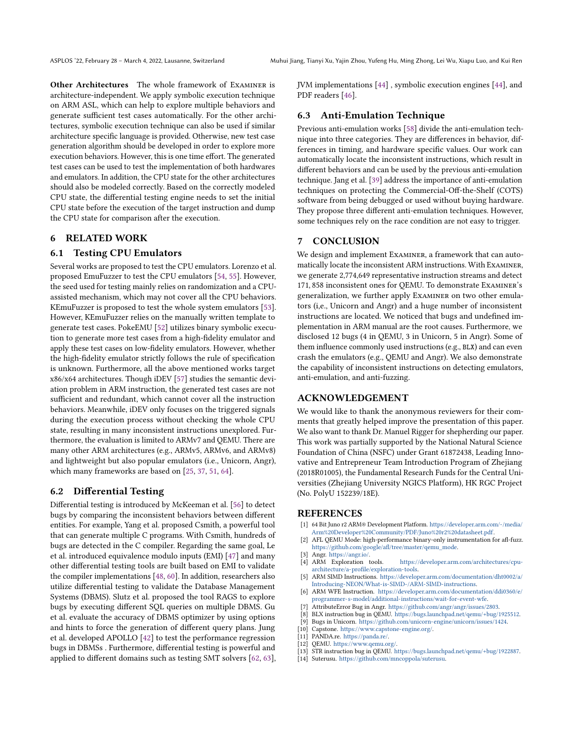Other Architectures The whole framework of Examiner is architecture-independent. We apply symbolic execution technique on ARM ASL, which can help to explore multiple behaviors and generate sufficient test cases automatically. For the other architectures, symbolic execution technique can also be used if similar architecture specific language is provided. Otherwise, new test case generation algorithm should be developed in order to explore more execution behaviors. However, this is one time effort. The generated test cases can be used to test the implementation of both hardwares and emulators. In addition, the CPU state for the other architectures should also be modeled correctly. Based on the correctly modeled CPU state, the differential testing engine needs to set the initial CPU state before the execution of the target instruction and dump the CPU state for comparison after the execution.

# 6 RELATED WORK

# 6.1 Testing CPU Emulators

Several works are proposed to test the CPU emulators. Lorenzo et al. proposed EmuFuzzer to test the CPU emulators [\[54,](#page-12-39) [55\]](#page-12-26). However, the seed used for testing mainly relies on randomization and a CPUassisted mechanism, which may not cover all the CPU behaviors. KEmuFuzzer is proposed to test the whole system emulators [\[53\]](#page-12-40). However, KEmuFuzzer relies on the manually written template to generate test cases. PokeEMU [\[52\]](#page-12-25) utilizes binary symbolic execution to generate more test cases from a high-fidelity emulator and apply these test cases on low-fidelity emulators. However, whether the high-fidelity emulator strictly follows the rule of specification is unknown. Furthermore, all the above mentioned works target x86/x64 architectures. Though iDEV [\[57\]](#page-12-27) studies the semantic deviation problem in ARM instruction, the generated test cases are not sufficient and redundant, which cannot cover all the instruction behaviors. Meanwhile, iDEV only focuses on the triggered signals during the execution process without checking the whole CPU state, resulting in many inconsistent instructions unexplored. Furthermore, the evaluation is limited to ARMv7 and QEMU. There are many other ARM architectures (e.g., ARMv5, ARMv6, and ARMv8) and lightweight but also popular emulators (i.e., Unicorn, Angr), which many frameworks are based on [\[25,](#page-12-28) [37,](#page-12-8) [51,](#page-12-16) [64\]](#page-12-29).

# 6.2 Differential Testing

Differential testing is introduced by McKeeman et al. [\[56\]](#page-12-41) to detect bugs by comparing the inconsistent behaviors between different entities. For example, Yang et al. proposed Csmith, a powerful tool that can generate multiple C programs. With Csmith, hundreds of bugs are detected in the C compiler. Regarding the same goal, Le et al. introduced equivalence modulo inputs (EMI) [\[47\]](#page-12-42) and many other differential testing tools are built based on EMI to validate the compiler implementations [\[48,](#page-12-43) [60\]](#page-12-44). In addition, researchers also utilize differential testing to validate the Database Management Systems (DBMS). Slutz et al. proposed the tool RAGS to explore bugs by executing different SQL queries on multiple DBMS. Gu et al. evaluate the accuracy of DBMS optimizer by using options and hints to force the generation of different query plans. Jung et al. developed APOLLO [\[42\]](#page-12-45) to test the performance regression bugs in DBMSs . Furthermore, differential testing is powerful and applied to different domains such as testing SMT solvers [\[62,](#page-12-46) [63\]](#page-12-47), JVM implementations [\[44\]](#page-12-48) , symbolic execution engines [\[44\]](#page-12-48), and PDF readers [\[46\]](#page-12-49).

# 6.3 Anti-Emulation Technique

Previous anti-emulation works [\[58\]](#page-12-24) divide the anti-emulation technique into three categories. They are differences in behavior, differences in timing, and hardware specific values. Our work can automatically locate the inconsistent instructions, which result in different behaviors and can be used by the previous anti-emulation technique. Jang et al. [\[39\]](#page-12-22) address the importance of anti-emulation techniques on protecting the Commercial-Off-the-Shelf (COTS) software from being debugged or used without buying hardware. They propose three different anti-emulation techniques. However, some techniques rely on the race condition are not easy to trigger.

# 7 CONCLUSION

We design and implement Examiner, a framework that can automatically locate the inconsistent ARM instructions. With Examiner, we generate 2,774,649 representative instruction streams and detect 171, 858 inconsistent ones for QEMU. To demonstrate Examiner's generalization, we further apply Examiner on two other emulators (i,e., Unicorn and Angr) and a huge number of inconsistent instructions are located. We noticed that bugs and undefined implementation in ARM manual are the root causes. Furthermore, we disclosed 12 bugs (4 in QEMU, 3 in Unicorn, 5 in Angr). Some of them influence commonly used instructions (e.g., BLX) and can even crash the emulators (e.g., QEMU and Angr). We also demonstrate the capability of inconsistent instructions on detecting emulators, anti-emulation, and anti-fuzzing.

#### ACKNOWLEDGEMENT

We would like to thank the anonymous reviewers for their comments that greatly helped improve the presentation of this paper. We also want to thank Dr. Manuel Rigger for shepherding our paper. This work was partially supported by the National Natural Science Foundation of China (NSFC) under Grant 61872438, Leading Innovative and Entrepreneur Team Introduction Program of Zhejiang (2018R01005), the Fundamental Research Funds for the Central Universities (Zhejiang University NGICS Platform), HK RGC Project (No. PolyU 152239/18E).

#### REFERENCES

- <span id="page-11-0"></span>[1] 64 Bit Juno r2 ARM® Development Platform. [https://developer.arm.com/-/media/](https://developer.arm.com/-/media/Arm%20Developer%20Community/PDF/Juno%20r2%20datasheet.pdf) [Arm%20Developer%20Community/PDF/Juno%20r2%20datasheet.pdf.](https://developer.arm.com/-/media/Arm%20Developer%20Community/PDF/Juno%20r2%20datasheet.pdf)
- <span id="page-11-3"></span>[2] AFL QEMU Mode: high-performance binary-only instrumentation for afl-fuzz. [https://github.com/google/afl/tree/master/qemu\\_mode.](https://github.com/google/afl/tree/master/qemu_mode)
- <span id="page-11-2"></span>Angr. [https://angr.io/.](https://angr.io/)
- <span id="page-11-8"></span>[4] ARM Exploration tools. [https://developer.arm.com/architectures/cpu](https://developer.arm.com/architectures/cpu-architecture/a-profile/exploration-tools)[architecture/a-profile/exploration-tools.](https://developer.arm.com/architectures/cpu-architecture/a-profile/exploration-tools)
- <span id="page-11-10"></span>[5] ARM SIMD Instructions. [https://developer.arm.com/documentation/dht0002/a/](https://developer.arm.com/documentation/dht0002/a/Introducing-NEON/What-is-SIMD-/ARM-SIMD-instructions) [Introducing-NEON/What-is-SIMD-/ARM-SIMD-instructions.](https://developer.arm.com/documentation/dht0002/a/Introducing-NEON/What-is-SIMD-/ARM-SIMD-instructions)
- <span id="page-11-11"></span>[6] ARM WFE Instruction. [https://developer.arm.com/documentation/ddi0360/e/](https://developer.arm.com/documentation/ddi0360/e/programmer-s-model/additional-instructions/wait-for-event-wfe) [programmer-s-model/additional-instructions/wait-for-event-wfe.](https://developer.arm.com/documentation/ddi0360/e/programmer-s-model/additional-instructions/wait-for-event-wfe)
- <span id="page-11-7"></span>[7] AttributeError Bug in Angr. [https://github.com/angr/angr/issues/2803.](https://github.com/angr/angr/issues/2803)
- <span id="page-11-4"></span>[8] BLX instruction bug in QEMU. [https://bugs.launchpad.net/qemu/+bug/1925512.](https://bugs.launchpad.net/qemu/+bug/1925512)
- <span id="page-11-6"></span>Bugs in Unicorn. [https://github.com/unicorn-engine/unicorn/issues/1424.](https://github.com/unicorn-engine/unicorn/issues/1424)
- <span id="page-11-9"></span>[10] Capstone. [https://www.capstone-engine.org/.](https://www.capstone-engine.org/)
- <span id="page-11-12"></span>[11] PANDA.re. [https://panda.re/.](https://panda.re/)
- <span id="page-11-1"></span>[12] QEMU. [https://www.qemu.org/.](https://www.qemu.org/)
- <span id="page-11-5"></span>[13] STR instruction bug in QEMU. [https://bugs.launchpad.net/qemu/+bug/1922887.](https://bugs.launchpad.net/qemu/+bug/1922887)
- <span id="page-11-13"></span>[14] Suterusu. [https://github.com/mncoppola/suterusu.](https://github.com/mncoppola/suterusu)